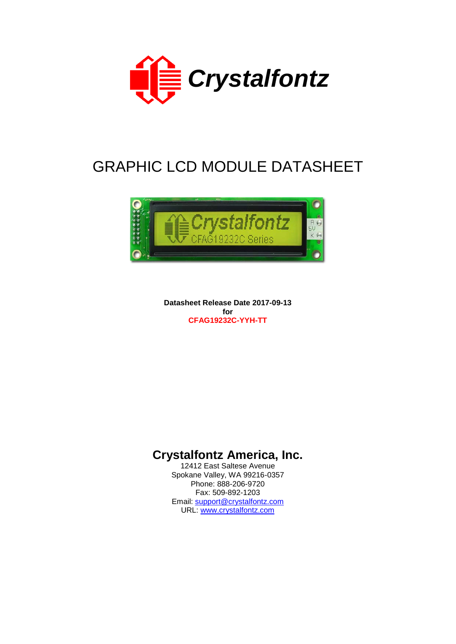

# GRAPHIC LCD MODULE DATASHEET



**Datasheet Release Date 2017-09-13 for CFAG19232C-YYH-TT**

# **Crystalfontz America, Inc.**

12412 East Saltese Avenue Spokane Valley, WA 99216-0357 Phone: 888-206-9720 Fax: 509-892-1203 Email: [support@crystalfontz.com](mailto:support@crystalfontz.com) URL: [www.crystalfontz.com](http://www.crystalfontz.com/)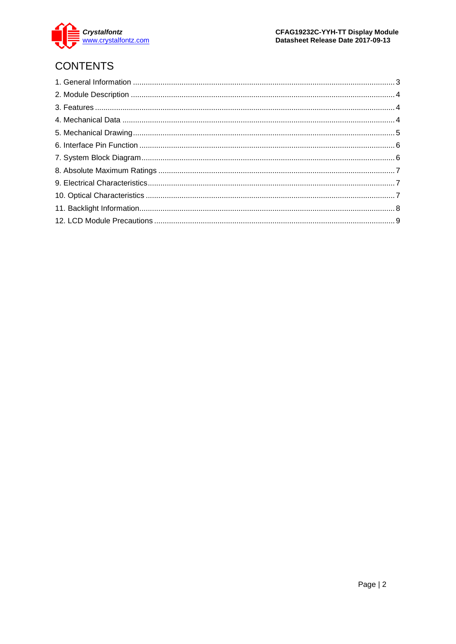

# **CONTENTS**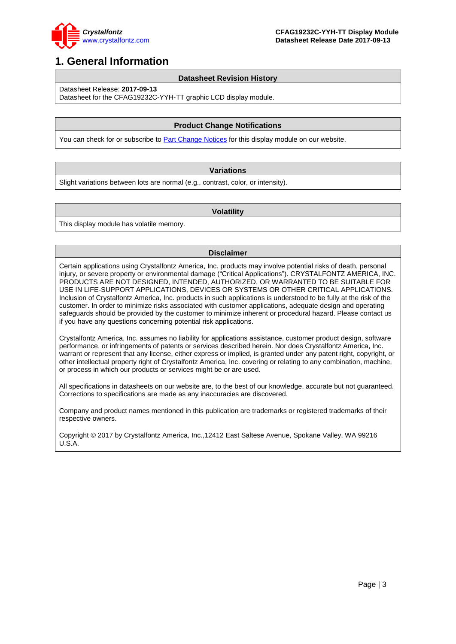

## <span id="page-2-0"></span>**1. General Information**

#### **Datasheet Revision History**

Datasheet Release: **2017-09-13**

Datasheet for the CFAG19232C-YYH-TT graphic LCD display module.

### **Product Change Notifications**

You can check for or subscribe to **Part Change Notices** for this display module on our website.

#### **Variations**

Slight variations between lots are normal (e.g., contrast, color, or intensity).

#### **Volatility**

This display module has volatile memory.

#### **Disclaimer**

Certain applications using Crystalfontz America, Inc. products may involve potential risks of death, personal injury, or severe property or environmental damage ("Critical Applications"). CRYSTALFONTZ AMERICA, INC. PRODUCTS ARE NOT DESIGNED, INTENDED, AUTHORIZED, OR WARRANTED TO BE SUITABLE FOR USE IN LIFE-SUPPORT APPLICATIONS, DEVICES OR SYSTEMS OR OTHER CRITICAL APPLICATIONS. Inclusion of Crystalfontz America, Inc. products in such applications is understood to be fully at the risk of the customer. In order to minimize risks associated with customer applications, adequate design and operating safeguards should be provided by the customer to minimize inherent or procedural hazard. Please contact us if you have any questions concerning potential risk applications.

Crystalfontz America, Inc. assumes no liability for applications assistance, customer product design, software performance, or infringements of patents or services described herein. Nor does Crystalfontz America, Inc. warrant or represent that any license, either express or implied, is granted under any patent right, copyright, or other intellectual property right of Crystalfontz America, Inc. covering or relating to any combination, machine, or process in which our products or services might be or are used.

All specifications in datasheets on our website are, to the best of our knowledge, accurate but not guaranteed. Corrections to specifications are made as any inaccuracies are discovered.

Company and product names mentioned in this publication are trademarks or registered trademarks of their respective owners.

Copyright © 2017 by Crystalfontz America, Inc.,12412 East Saltese Avenue, Spokane Valley, WA 99216 U.S.A.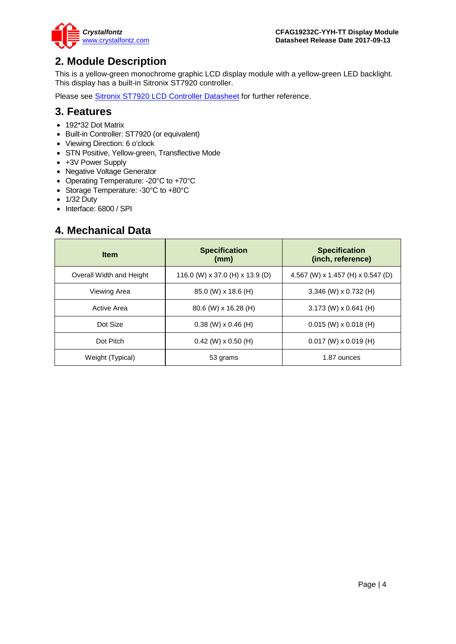

## <span id="page-3-0"></span>**2. Module Description**

This is a yellow-green monochrome graphic LCD display module with a yellow-green LED backlight. This display has a built-in Sitronix ST7920 controller.

Please see [Sitronix ST7920 LCD Controller Datasheet](https://www.crystalfontz.com/controllers/Sitronix/ST7920) for further reference.

### <span id="page-3-1"></span>**3. Features**

- 192\*32 Dot Matrix
- Built-in Controller: ST7920 (or equivalent)
- Viewing Direction: 6 o'clock
- STN Positive, Yellow-green, Transflective Mode
- +3V Power Supply
- Negative Voltage Generator
- Operating Temperature: -20°C to +70°C
- Storage Temperature: -30°C to +80°C
- 1/32 Duty
- Interface: 6800 / SPI

### <span id="page-3-2"></span>**4. Mechanical Data**

| <b>Item</b>              | <b>Specification</b><br>(mm)    | <b>Specification</b><br>(inch, reference) |
|--------------------------|---------------------------------|-------------------------------------------|
| Overall Width and Height | 116.0 (W) x 37.0 (H) x 13.9 (D) | 4.567 (W) x 1.457 (H) x 0.547 (D)         |
| Viewing Area             | 85.0 (W) x 18.6 (H)             | 3.346 (W) x 0.732 (H)                     |
| Active Area              | 80.6 (W) x 16.28 (H)            | $3.173$ (W) x 0.641 (H)                   |
| Dot Size                 | $0.38$ (W) $\times$ 0.46 (H)    | $0.015$ (W) x 0.018 (H)                   |
| Dot Pitch                | $0.42$ (W) x $0.50$ (H)         | $0.017$ (W) x 0.019 (H)                   |
| Weight (Typical)         | 53 grams                        | 1.87 ounces                               |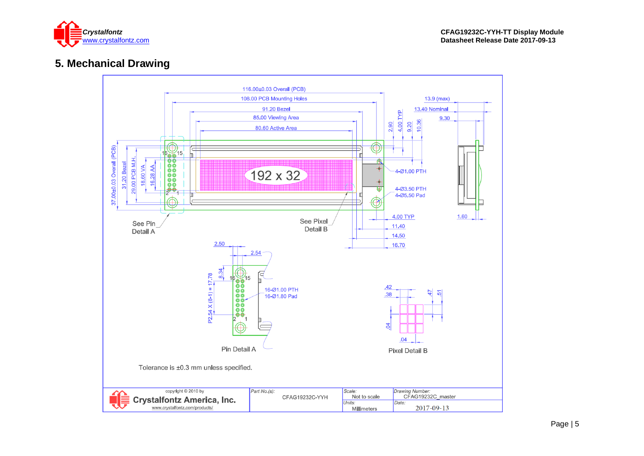

# **5. Mechanical Drawing**

<span id="page-4-0"></span>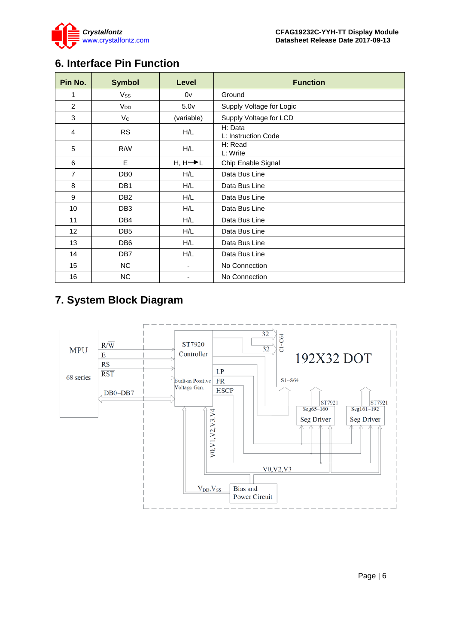

# <span id="page-5-0"></span>**6. Interface Pin Function**

| Pin No.           | <b>Symbol</b>   | Level                | <b>Function</b>                |  |  |  |  |
|-------------------|-----------------|----------------------|--------------------------------|--|--|--|--|
| 1                 | Vss             | 0v                   | Ground                         |  |  |  |  |
| $\overline{2}$    | V <sub>DD</sub> | 5.0 <sub>V</sub>     | Supply Voltage for Logic       |  |  |  |  |
| 3                 | $V_{\rm O}$     | (variable)           | Supply Voltage for LCD         |  |  |  |  |
| 4                 | <b>RS</b>       | H/L                  | H: Data<br>L: Instruction Code |  |  |  |  |
| 5                 | R/W             | H/L                  | H: Read<br>L: Write            |  |  |  |  |
| 6                 | E               | $H, H \rightarrow L$ | Chip Enable Signal             |  |  |  |  |
| $\overline{7}$    | DB <sub>0</sub> | H/L                  | Data Bus Line                  |  |  |  |  |
| 8                 | DB <sub>1</sub> | H/L                  | Data Bus Line                  |  |  |  |  |
| 9                 | DB <sub>2</sub> | H/L                  | Data Bus Line                  |  |  |  |  |
| 10                | DB <sub>3</sub> | H/L                  | Data Bus Line                  |  |  |  |  |
| 11                | DB4             | H/L                  | Data Bus Line                  |  |  |  |  |
| $12 \overline{ }$ | DB <sub>5</sub> | H/L                  | Data Bus Line                  |  |  |  |  |
| 13                | DB <sub>6</sub> | H/L                  | Data Bus Line                  |  |  |  |  |
| 14                | DB7             | H/L                  | Data Bus Line                  |  |  |  |  |
| 15                | <b>NC</b>       | -                    | No Connection                  |  |  |  |  |
| 16                | <b>NC</b>       |                      | No Connection                  |  |  |  |  |

# <span id="page-5-1"></span>**7. System Block Diagram**

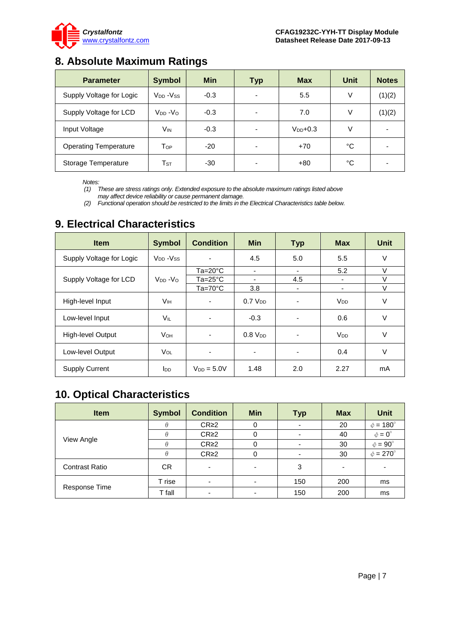

# <span id="page-6-0"></span>**8. Absolute Maximum Ratings**

| <b>Parameter</b>             | <b>Symbol</b>                    | <b>Min</b> | <b>Typ</b>               | <b>Max</b>    | <b>Unit</b> | <b>Notes</b> |
|------------------------------|----------------------------------|------------|--------------------------|---------------|-------------|--------------|
| Supply Voltage for Logic     | V <sub>DD</sub> -V <sub>SS</sub> | $-0.3$     | $\overline{\phantom{0}}$ | 5.5           | $\vee$      | (1)(2)       |
| Supply Voltage for LCD       | $V_{DD} - V_{O}$                 | $-0.3$     | $\overline{\phantom{0}}$ | 7.0           | V           | (1)(2)       |
| Input Voltage                | V <sub>IN</sub>                  | $-0.3$     |                          | $V_{DD}$ +0.3 |             |              |
| <b>Operating Temperature</b> | Тор                              | $-20$      | -                        | $+70$         | °C          |              |
| Storage Temperature          | $\mathsf{T}_{\texttt{ST}}$       | $-30$      |                          | $+80$         | °C          |              |

*Notes:*

*(1) These are stress ratings only. Extended exposure to the absolute maximum ratings listed above may affect device reliability or cause permanent damage.* 

*(2) Functional operation should be restricted to the limits in the Electrical Characteristics table below.*

| <b>Item</b>              | <b>Symbol</b>                     | <b>Condition</b> | <b>Min</b>               | <b>Typ</b>               | <b>Max</b>            | <b>Unit</b> |
|--------------------------|-----------------------------------|------------------|--------------------------|--------------------------|-----------------------|-------------|
| Supply Voltage for Logic | V <sub>DD</sub> - V <sub>SS</sub> |                  | 4.5                      | 5.0                      | 5.5                   | V           |
|                          |                                   | Ta=20°C          | $\overline{\phantom{a}}$ | ۰.                       | 5.2                   | V           |
| Supply Voltage for LCD   | $V_{DD} - V_{O}$                  | Ta=25°C          | ٠                        | 4.5                      |                       | V           |
|                          |                                   | $Ta=70^{\circ}C$ | 3.8                      | ٠                        | ۰                     | $\vee$      |
| High-level Input         | Vн                                | ٠                | 0.7 V <sub>DD</sub>      |                          | <b>V<sub>DD</sub></b> | V           |
| Low-level Input          | VIL                               |                  | $-0.3$                   |                          | 0.6                   | V           |
| High-level Output        | <b>V</b> он                       |                  | $0.8$ $V_{DD}$           |                          | <b>V<sub>DD</sub></b> | $\vee$      |
| Low-level Output         | VOL                               | ۰                | ٠                        | $\overline{\phantom{0}}$ | 0.4                   | V           |
| <b>Supply Current</b>    | <b>I</b> <sub>DD</sub>            | $V_{DD} = 5.0V$  | 1.48                     | 2.0                      | 2.27                  | mA          |

## <span id="page-6-1"></span>**9. Electrical Characteristics**

# <span id="page-6-2"></span>**10. Optical Characteristics**

| <b>Item</b>           | <b>Symbol</b> | <b>Condition</b>         | <b>Min</b> | <b>Typ</b> | <b>Max</b>               | <b>Unit</b>              |
|-----------------------|---------------|--------------------------|------------|------------|--------------------------|--------------------------|
|                       | $\theta$      | $CR \geq 2$              | 0          |            | 20                       | $\phi = 180^\circ$       |
|                       |               | CR <sub>2</sub>          | 0          |            | 40                       | $\phi = 0^{\circ}$       |
| View Angle            |               | CR <sub>2</sub>          |            |            | 30                       | $\phi = 90^{\circ}$      |
|                       | $\theta$      | CR <sub>2</sub>          | 0          |            | 30                       | $\phi = 270^\circ$       |
| <b>Contrast Ratio</b> | CR.           | $\overline{\phantom{0}}$ | -          | 3          | $\overline{\phantom{0}}$ | $\overline{\phantom{0}}$ |
| Response Time         | T rise        |                          |            | 150        | 200                      | ms                       |
|                       | T fall        |                          |            | 150        | 200                      | ms                       |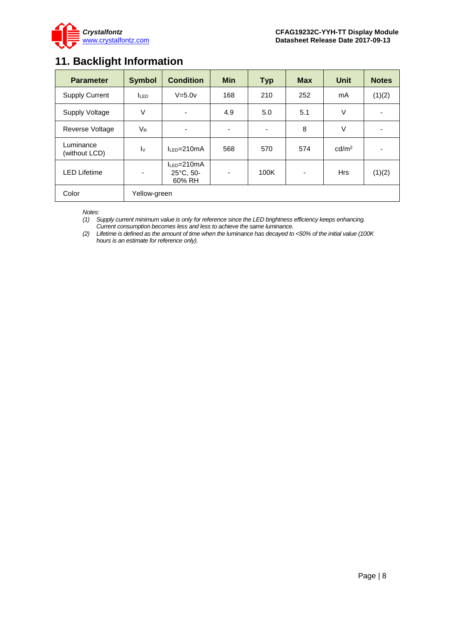

# <span id="page-7-0"></span>**11. Backlight Information**

| <b>Parameter</b>           | <b>Symbol</b>            | <b>Condition</b>                                   | <b>Min</b>               | <b>Typ</b> | <b>Max</b> | <b>Unit</b>       | <b>Notes</b> |
|----------------------------|--------------------------|----------------------------------------------------|--------------------------|------------|------------|-------------------|--------------|
| <b>Supply Current</b>      | I <sub>LED</sub>         | $V=5.0v$                                           | 168                      | 210        | 252        | mA                | (1)(2)       |
| <b>Supply Voltage</b>      | $\vee$                   | $\overline{\phantom{a}}$                           | 4.9                      | 5.0        | 5.1        | V                 |              |
| Reverse Voltage            | $V_{R}$                  | -                                                  | $\overline{\phantom{a}}$ | ٠          | 8          | V                 |              |
| Luminance<br>(without LCD) | $\mathsf{I}\mathsf{v}$   | $IIP=210mA$                                        | 568                      | 570        | 574        | cd/m <sup>2</sup> |              |
| <b>LED Lifetime</b>        | $\overline{\phantom{a}}$ | $I_{LED} = 210mA$<br>$25^{\circ}$ C, 50-<br>60% RH | $\overline{\phantom{a}}$ | 100K       |            | <b>Hrs</b>        | (1)(2)       |
| Color                      | Yellow-green             |                                                    |                          |            |            |                   |              |

*Notes:* 

*(1) Supply current minimum value is only for reference since the LED brightness efficiency keeps enhancing. Current consumption becomes less and less to achieve the same luminance.* 

*(2) Lifetime is defined as the amount of time when the luminance has decayed to <50% of the initial value (100K hours is an estimate for reference only).*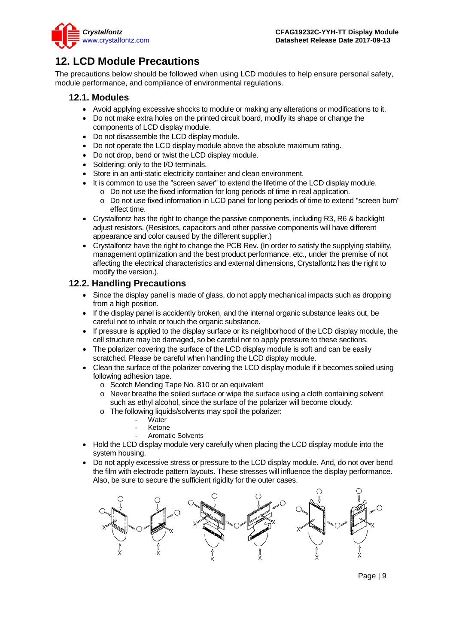

# <span id="page-8-0"></span>**12. LCD Module Precautions**

The precautions below should be followed when using LCD modules to help ensure personal safety, module performance, and compliance of environmental regulations.

### **12.1. Modules**

- Avoid applying excessive shocks to module or making any alterations or modifications to it.
- Do not make extra holes on the printed circuit board, modify its shape or change the components of LCD display module.
- Do not disassemble the LCD display module.
- Do not operate the LCD display module above the absolute maximum rating.
- Do not drop, bend or twist the LCD display module.
- Soldering: only to the I/O terminals.
- Store in an anti-static electricity container and clean environment.
- It is common to use the "screen saver" to extend the lifetime of the LCD display module.
	- o Do not use the fixed information for long periods of time in real application.
	- o Do not use fixed information in LCD panel for long periods of time to extend "screen burn" effect time.
- Crystalfontz has the right to change the passive components, including R3, R6 & backlight adjust resistors. (Resistors, capacitors and other passive components will have different appearance and color caused by the different supplier.)
- Crystalfontz have the right to change the PCB Rev. (In order to satisfy the supplying stability, management optimization and the best product performance, etc., under the premise of not affecting the electrical characteristics and external dimensions, Crystalfontz has the right to modify the version.).

### **12.2. Handling Precautions**

- Since the display panel is made of glass, do not apply mechanical impacts such as dropping from a high position.
- If the display panel is accidently broken, and the internal organic substance leaks out, be careful not to inhale or touch the organic substance.
- If pressure is applied to the display surface or its neighborhood of the LCD display module, the cell structure may be damaged, so be careful not to apply pressure to these sections.
- The polarizer covering the surface of the LCD display module is soft and can be easily scratched. Please be careful when handling the LCD display module.
- Clean the surface of the polarizer covering the LCD display module if it becomes soiled using following adhesion tape.
	- o Scotch Mending Tape No. 810 or an equivalent
	- o Never breathe the soiled surface or wipe the surface using a cloth containing solvent such as ethyl alcohol, since the surface of the polarizer will become cloudy.
	- o The following liquids/solvents may spoil the polarizer:
		- Water
		- **Ketone**
		- Aromatic Solvents
- Hold the LCD display module very carefully when placing the LCD display module into the system housing.
- Do not apply excessive stress or pressure to the LCD display module. And, do not over bend the film with electrode pattern layouts. These stresses will influence the display performance. Also, be sure to secure the sufficient rigidity for the outer cases.

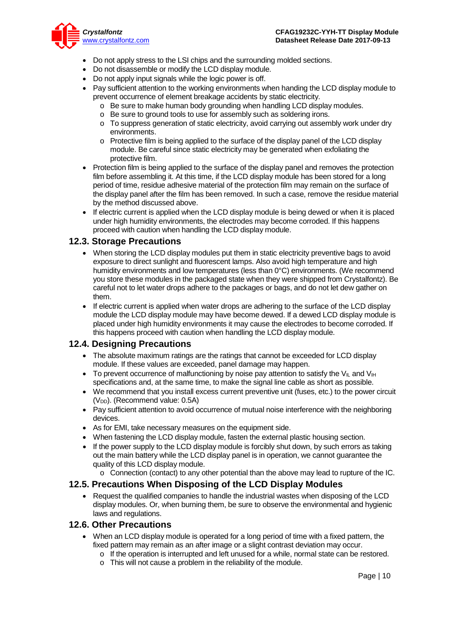

- Do not apply stress to the LSI chips and the surrounding molded sections.
- Do not disassemble or modify the LCD display module.
- Do not apply input signals while the logic power is off.
- Pay sufficient attention to the working environments when handing the LCD display module to prevent occurrence of element breakage accidents by static electricity.
	- o Be sure to make human body grounding when handling LCD display modules.
	- o Be sure to ground tools to use for assembly such as soldering irons.
	- o To suppress generation of static electricity, avoid carrying out assembly work under dry environments.
	- o Protective film is being applied to the surface of the display panel of the LCD display module. Be careful since static electricity may be generated when exfoliating the protective film.
- Protection film is being applied to the surface of the display panel and removes the protection film before assembling it. At this time, if the LCD display module has been stored for a long period of time, residue adhesive material of the protection film may remain on the surface of the display panel after the film has been removed. In such a case, remove the residue material by the method discussed above.
- If electric current is applied when the LCD display module is being dewed or when it is placed under high humidity environments, the electrodes may become corroded. If this happens proceed with caution when handling the LCD display module.

### **12.3. Storage Precautions**

- When storing the LCD display modules put them in static electricity preventive bags to avoid exposure to direct sunlight and fluorescent lamps. Also avoid high temperature and high humidity environments and low temperatures (less than 0°C) environments. (We recommend you store these modules in the packaged state when they were shipped from Crystalfontz). Be careful not to let water drops adhere to the packages or bags, and do not let dew gather on them.
- If electric current is applied when water drops are adhering to the surface of the LCD display module the LCD display module may have become dewed. If a dewed LCD display module is placed under high humidity environments it may cause the electrodes to become corroded. If this happens proceed with caution when handling the LCD display module.

### **12.4. Designing Precautions**

- The absolute maximum ratings are the ratings that cannot be exceeded for LCD display module. If these values are exceeded, panel damage may happen.
- To prevent occurrence of malfunctioning by noise pay attention to satisfy the V<sub>II</sub> and V<sub>IH</sub> specifications and, at the same time, to make the signal line cable as short as possible.
- We recommend that you install excess current preventive unit (fuses, etc.) to the power circuit (V<sub>DD</sub>). (Recommend value: 0.5A)
- Pay sufficient attention to avoid occurrence of mutual noise interference with the neighboring devices.
- As for EMI, take necessary measures on the equipment side.
- When fastening the LCD display module, fasten the external plastic housing section.
- If the power supply to the LCD display module is forcibly shut down, by such errors as taking out the main battery while the LCD display panel is in operation, we cannot guarantee the quality of this LCD display module.
	- o Connection (contact) to any other potential than the above may lead to rupture of the IC.

### **12.5. Precautions When Disposing of the LCD Display Modules**

• Request the qualified companies to handle the industrial wastes when disposing of the LCD display modules. Or, when burning them, be sure to observe the environmental and hygienic laws and regulations.

### **12.6. Other Precautions**

- When an LCD display module is operated for a long period of time with a fixed pattern, the fixed pattern may remain as an after image or a slight contrast deviation may occur.
	- o If the operation is interrupted and left unused for a while, normal state can be restored.
	- o This will not cause a problem in the reliability of the module.